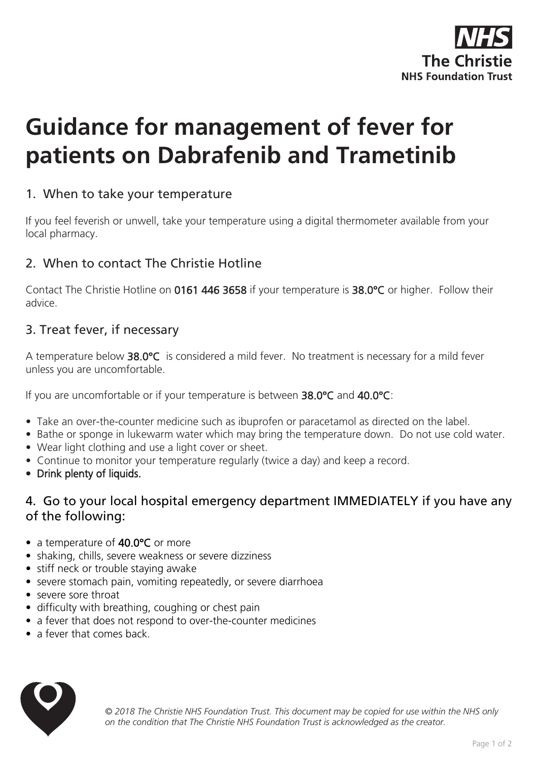

# **Guidance for management of fever for patients on Dabrafenib and Trametinib**

## 1. When to take your temperature

If you feel feverish or unwell, take your temperature using a digital thermometer available from your local pharmacy.

## 2. When to contact The Christie Hotline

Contact The Christie Hotline on 0161 446 3658 if your temperature is 38.0°C or higher. Follow their advice.

#### 3. Treat fever, if necessary

A temperature below 38.0°C is considered a mild fever. No treatment is necessary for a mild fever unless you are uncomfortable.

If you are uncomfortable or if your temperature is between 38.0°C and 40.0°C:

- Take an over-the-counter medicine such as ibuprofen or paracetamol as directed on the label.
- Bathe or sponge in lukewarm water which may bring the temperature down. Do not use cold water.
- Wear light clothing and use a light cover or sheet.
- Continue to monitor your temperature regularly (twice a day) and keep a record.
- Drink plenty of liquids.

## 4. Go to your local hospital emergency department IMMEDIATELY if you have any of the following:

- a temperature of 40.0°C or more
- shaking, chills, severe weakness or severe dizziness
- stiff neck or trouble staying awake
- severe stomach pain, vomiting repeatedly, or severe diarrhoea
- severe sore throat
- difficulty with breathing, coughing or chest pain
- a fever that does not respond to over-the-counter medicines
- a fever that comes back



*© 2018 The Christie NHS Foundation Trust. This document may be copied for use within the NHS only on the condition that The Christie NHS Foundation Trust is acknowledged as the creator.*